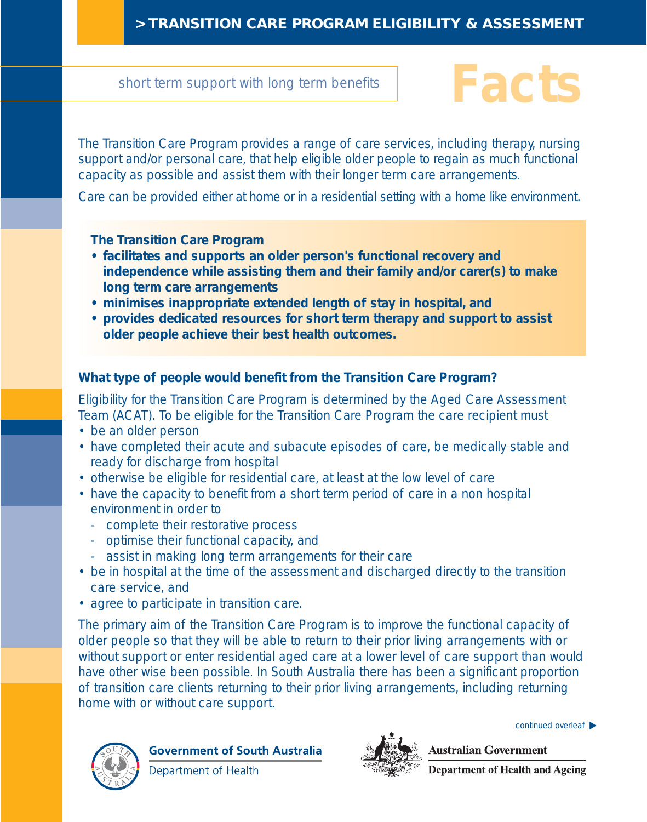### **> TRANSITION CARE PROGRAM ELIGIBILITY & ASSESSMENT**

#### short term support with long term benefits

# **Facts**

The Transition Care Program provides a range of care services, including therapy, nursing support and/or personal care, that help eligible older people to regain as much functional capacity as possible and assist them with their longer term care arrangements.

Care can be provided either at home or in a residential setting with a home like environment.

#### **The Transition Care Program**

- **facilitates and supports an older person's functional recovery and independence while assisting them and their family and/or carer(s) to make long term care arrangements**
- **minimises inappropriate extended length of stay in hospital, and**
- **provides dedicated resources for short term therapy and support to assist older people achieve their best health outcomes.**

#### **What type of people would benefit from the Transition Care Program?**

Eligibility for the Transition Care Program is determined by the Aged Care Assessment Team (ACAT). To be eligible for the Transition Care Program the care recipient must

- be an older person
- have completed their acute and subacute episodes of care, be medically stable and ready for discharge from hospital
- otherwise be eligible for residential care, at least at the low level of care
- have the capacity to benefit from a short term period of care in a non hospital environment in order to
	- complete their restorative process
	- optimise their functional capacity, and
	- assist in making long term arrangements for their care
- be in hospital at the time of the assessment and discharged directly to the transition care service, and
- agree to participate in transition care.

The primary aim of the Transition Care Program is to improve the functional capacity of older people so that they will be able to return to their prior living arrangements with or without support or enter residential aged care at a lower level of care support than would have other wise been possible. In South Australia there has been a significant proportion of transition care clients returning to their prior living arrangements, including returning home with or without care support.



**Government of South Australia** 

Department of Health



continued overleaf ▶

**Australian Government Department of Health and Ageing**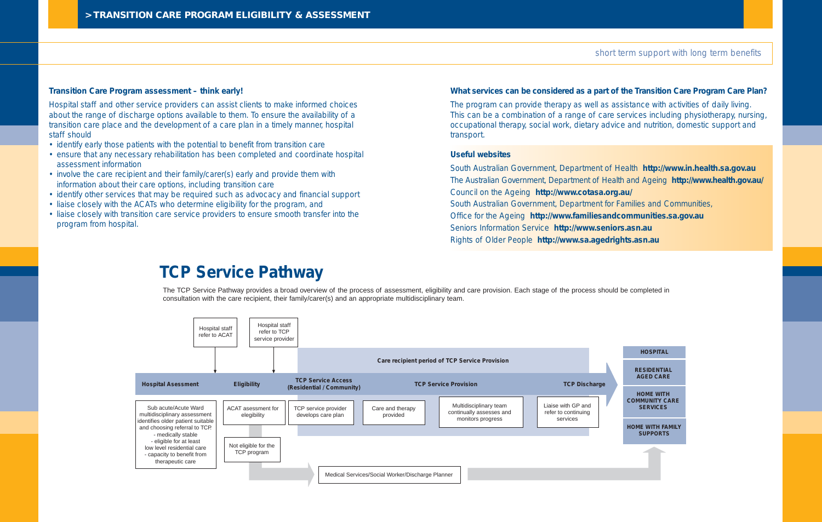#### **Transition Care Program assessment – think early!**

Hospital staff and other service providers can assist clients to make informed choices about the range of discharge options available to them. To ensure the availability of a transition care place and the development of a care plan in a timely manner, hospital staff should

- identify early those patients with the potential to benefit from transition care
- ensure that any necessary rehabilitation has been completed and coordinate hospital assessment information
- involve the care recipient and their family/carer(s) early and provide them with information about their care options, including transition care
- identify other services that may be required such as advocacy and financial support
- liaise closely with the ACATs who determine eligibility for the program, and
- liaise closely with transition care service providers to ensure smooth transfer into the program from hospital.

#### **HOSPITAL**



**RESIDENTIAL AGED CARE**

**HOME WITH COMMUNITY CARE SERVICES**

**HOME WITH FAMILY SUPPORTS**



#### **What services can be considered as a part of the Transition Care Program Care Plan?**

The program can provide therapy as well as assistance with activities of daily living. This can be a combination of a range of care services including physiotherapy, nursing, occupational therapy, social work, dietary advice and nutrition, domestic support and transport.

#### **Useful websites**

South Australian Government, Department of Health **http://www.in.health.sa.gov.au** The Australian Government, Department of Health and Ageing **http://www.health.gov.au/** Council on the Ageing **http://www.cotasa.org.au/** South Australian Government, Department for Families and Communities, Office for the Ageing **http://www.familiesandcommunities.sa.gov.au** Seniors Information Service **http://www.seniors.asn.au** Rights of Older People **http://www.sa.agedrights.asn.au**

#### short term support with long term benefits

## **TCP Service Pathway**

The TCP Service Pathway provides a broad overview of the process of assessment, eligibility and care provision. Each stage of the process should be completed in consultation with the care recipient, their family/carer(s) and an appropriate multidisciplinary team.